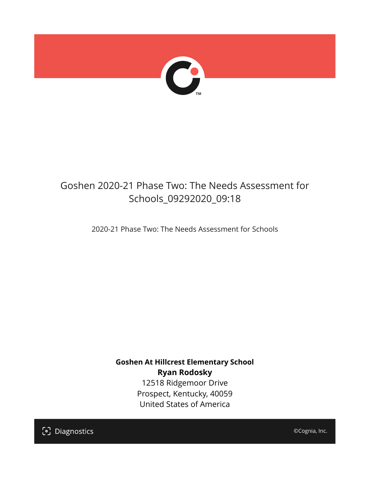

## Goshen 2020-21 Phase Two: The Needs Assessment for Schools\_09292020\_09:18

2020-21 Phase Two: The Needs Assessment for Schools

**Goshen At Hillcrest Elementary School Ryan Rodosky** 12518 Ridgemoor Drive Prospect, Kentucky, 40059 United States of America

[၁] Diagnostics

©Cognia, Inc.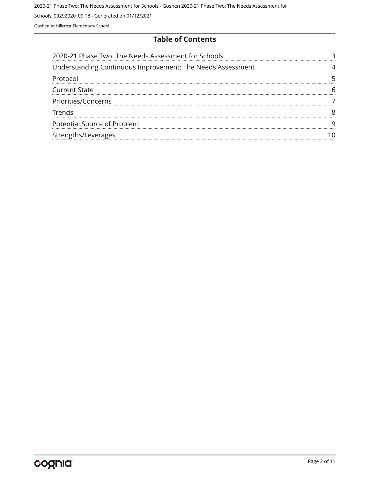#### **Table of Contents**

| 2020-21 Phase Two: The Needs Assessment for Schools        |  |
|------------------------------------------------------------|--|
| Understanding Continuous Improvement: The Needs Assessment |  |
| Protocol                                                   |  |
| <b>Current State</b>                                       |  |
| Priorities/Concerns                                        |  |
| <b>Trends</b>                                              |  |
| Potential Source of Problem                                |  |
| Strengths/Leverages                                        |  |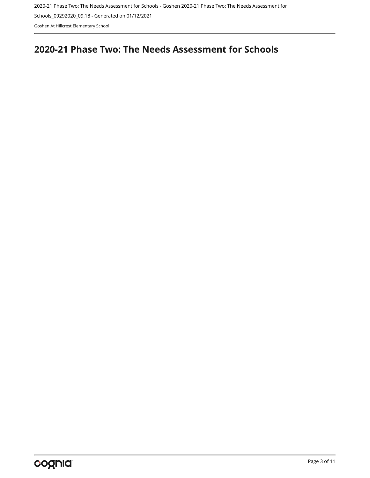2020-21 Phase Two: The Needs Assessment for Schools - Goshen 2020-21 Phase Two: The Needs Assessment for

Schools\_09292020\_09:18 - Generated on 01/12/2021

Goshen At Hillcrest Elementary School

## <span id="page-2-0"></span>**2020-21 Phase Two: The Needs Assessment for Schools**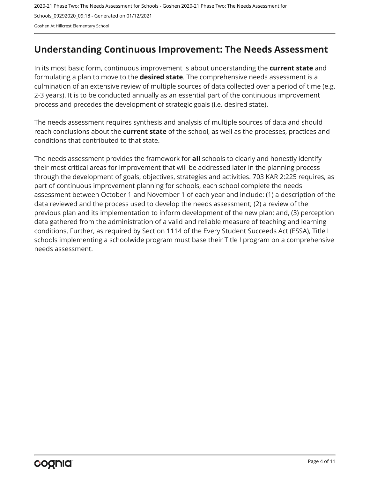## <span id="page-3-0"></span>**Understanding Continuous Improvement: The Needs Assessment**

In its most basic form, continuous improvement is about understanding the **current state** and formulating a plan to move to the **desired state**. The comprehensive needs assessment is a culmination of an extensive review of multiple sources of data collected over a period of time (e.g. 2-3 years). It is to be conducted annually as an essential part of the continuous improvement process and precedes the development of strategic goals (i.e. desired state).

The needs assessment requires synthesis and analysis of multiple sources of data and should reach conclusions about the **current state** of the school, as well as the processes, practices and conditions that contributed to that state.

The needs assessment provides the framework for **all** schools to clearly and honestly identify their most critical areas for improvement that will be addressed later in the planning process through the development of goals, objectives, strategies and activities. 703 KAR 2:225 requires, as part of continuous improvement planning for schools, each school complete the needs assessment between October 1 and November 1 of each year and include: (1) a description of the data reviewed and the process used to develop the needs assessment; (2) a review of the previous plan and its implementation to inform development of the new plan; and, (3) perception data gathered from the administration of a valid and reliable measure of teaching and learning conditions. Further, as required by Section 1114 of the Every Student Succeeds Act (ESSA), Title I schools implementing a schoolwide program must base their Title I program on a comprehensive needs assessment.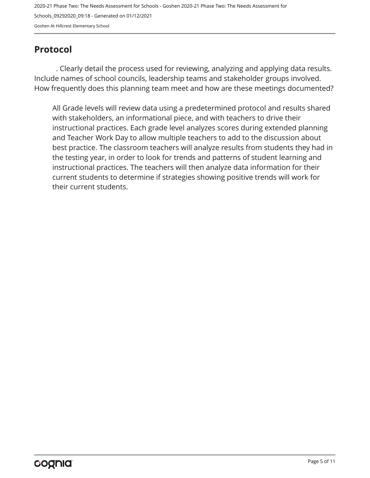## <span id="page-4-0"></span>**Protocol**

. Clearly detail the process used for reviewing, analyzing and applying data results. Include names of school councils, leadership teams and stakeholder groups involved. How frequently does this planning team meet and how are these meetings documented?

All Grade levels will review data using a predetermined protocol and results shared with stakeholders, an informational piece, and with teachers to drive their instructional practices. Each grade level analyzes scores during extended planning and Teacher Work Day to allow multiple teachers to add to the discussion about best practice. The classroom teachers will analyze results from students they had in the testing year, in order to look for trends and patterns of student learning and instructional practices. The teachers will then analyze data information for their current students to determine if strategies showing positive trends will work for their current students.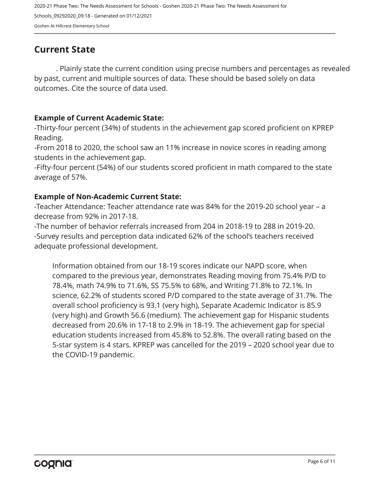## <span id="page-5-0"></span>**Current State**

. Plainly state the current condition using precise numbers and percentages as revealed by past, current and multiple sources of data. These should be based solely on data outcomes. Cite the source of data used.

#### **Example of Current Academic State:**

-Thirty-four percent (34%) of students in the achievement gap scored proficient on KPREP Reading.

-From 2018 to 2020, the school saw an 11% increase in novice scores in reading among students in the achievement gap.

-Fifty-four percent (54%) of our students scored proficient in math compared to the state average of 57%.

#### **Example of Non-Academic Current State:**

-Teacher Attendance: Teacher attendance rate was 84% for the 2019-20 school year – a decrease from 92% in 2017-18.

-The number of behavior referrals increased from 204 in 2018-19 to 288 in 2019-20. -Survey results and perception data indicated 62% of the school's teachers received adequate professional development.

Information obtained from our 18-19 scores indicate our NAPD score, when compared to the previous year, demonstrates Reading moving from 75.4% P/D to 78.4%, math 74.9% to 71.6%, SS 75.5% to 68%, and Writing 71.8% to 72.1%. In science, 62.2% of students scored P/D compared to the state average of 31.7%. The overall school proficiency is 93.1 (very high), Separate Academic Indicator is 85.9 (very high) and Growth 56.6 (medium). The achievement gap for Hispanic students decreased from 20.6% in 17-18 to 2.9% in 18-19. The achievement gap for special education students increased from 45.8% to 52.8%. The overall rating based on the 5-star system is 4 stars. KPREP was cancelled for the 2019 – 2020 school year due to the COVID-19 pandemic.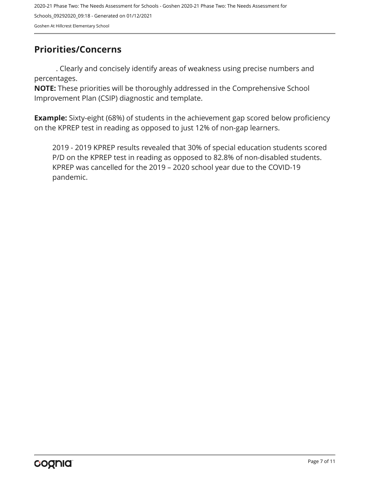## <span id="page-6-0"></span>**Priorities/Concerns**

. Clearly and concisely identify areas of weakness using precise numbers and percentages.

**NOTE:** These priorities will be thoroughly addressed in the Comprehensive School Improvement Plan (CSIP) diagnostic and template.

**Example:** Sixty-eight (68%) of students in the achievement gap scored below proficiency on the KPREP test in reading as opposed to just 12% of non-gap learners.

2019 - 2019 KPREP results revealed that 30% of special education students scored P/D on the KPREP test in reading as opposed to 82.8% of non-disabled students. KPREP was cancelled for the 2019 – 2020 school year due to the COVID-19 pandemic.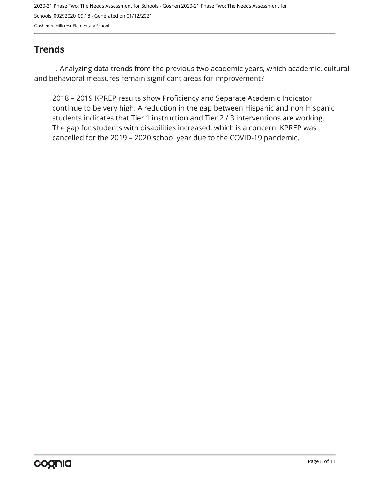## <span id="page-7-0"></span>**Trends**

. Analyzing data trends from the previous two academic years, which academic, cultural and behavioral measures remain significant areas for improvement?

2018 – 2019 KPREP results show Proficiency and Separate Academic Indicator continue to be very high. A reduction in the gap between Hispanic and non Hispanic students indicates that Tier 1 instruction and Tier 2 / 3 interventions are working. The gap for students with disabilities increased, which is a concern. KPREP was cancelled for the 2019 – 2020 school year due to the COVID-19 pandemic.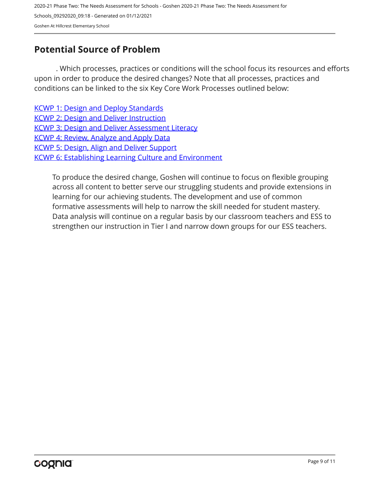## <span id="page-8-0"></span>**Potential Source of Problem**

. Which processes, practices or conditions will the school focus its resources and efforts upon in order to produce the desired changes? Note that all processes, practices and conditions can be linked to the six Key Core Work Processes outlined below:

[KCWP 1: Design and Deploy Standards](https://education.ky.gov/school/csip/Documents/KCWP 1 Strategic Design and Deploy Standards.pdf) [KCWP 2: Design and Deliver Instruction](https://education.ky.gov/school/csip/Documents/KCWP%202%20Strategic%20Design%20and%20Deliver%20Instruction.pdf) [KCWP 3: Design and Deliver Assessment Literacy](https://education.ky.gov/school/csip/Documents/KCWP%203%20Strategic%20Design%20and%20Deliver%20Assessment%20Literacy.pdf) [KCWP 4: Review, Analyze and Apply Data](https://education.ky.gov/school/csip/Documents/KCWP 4 Strategic Review Analyze and Apply Data.pdf) [KCWP 5: Design, Align and Deliver Support](https://education.ky.gov/school/csip/Documents/KCWP 5 Strategic Design Align Deliver Support Processes.pdf) [KCWP 6: Establishing Learning Culture and Environment](https://education.ky.gov/school/csip/Documents/KCWP 6 Strategic Establish Learning Culture and Environment.pdf)

To produce the desired change, Goshen will continue to focus on flexible grouping across all content to better serve our struggling students and provide extensions in learning for our achieving students. The development and use of common formative assessments will help to narrow the skill needed for student mastery. Data analysis will continue on a regular basis by our classroom teachers and ESS to strengthen our instruction in Tier I and narrow down groups for our ESS teachers.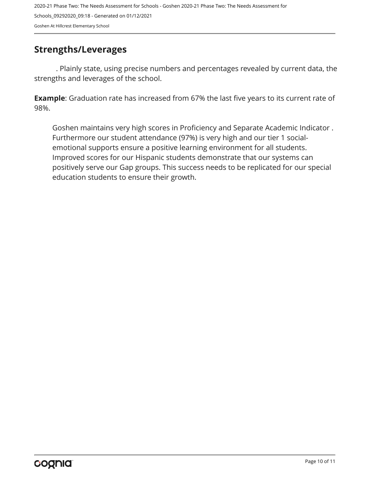### <span id="page-9-0"></span>**Strengths/Leverages**

. Plainly state, using precise numbers and percentages revealed by current data, the strengths and leverages of the school.

**Example**: Graduation rate has increased from 67% the last five years to its current rate of 98%.

Goshen maintains very high scores in Proficiency and Separate Academic Indicator . Furthermore our student attendance (97%) is very high and our tier 1 socialemotional supports ensure a positive learning environment for all students. Improved scores for our Hispanic students demonstrate that our systems can positively serve our Gap groups. This success needs to be replicated for our special education students to ensure their growth.